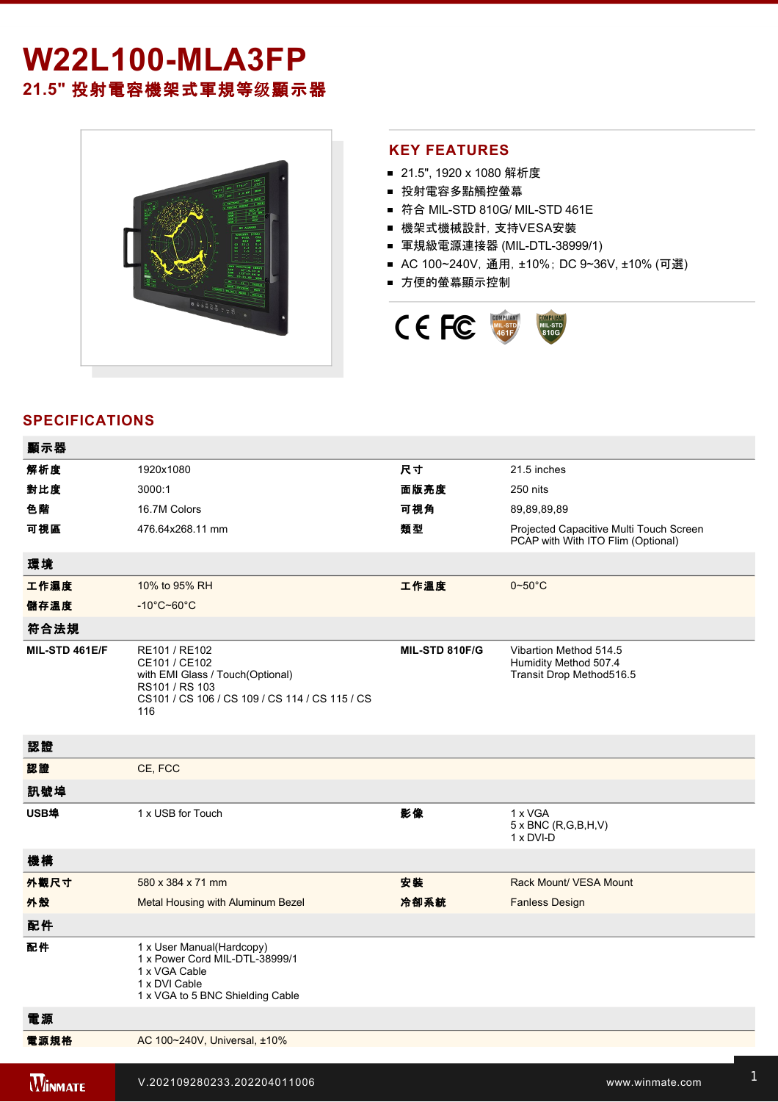# **W22L100-MLA3FP 21.5"** 投射電容機架式軍規等级顯示器



## **KEY FEATURES**

- 21.5", 1920 x 1080 解析度
- 投射電容多點觸控螢幕
- 符合 MIL-STD 810G/ MIL-STD 461E
- 機架式機械設計, 支持VESA安裝
- 軍規級電源連接器 (MIL-DTL-38999/1)
- AC 100~240V, 通用, ±10%; DC 9~36V, ±10% (可選)
- 方便的螢幕顯示控制



# **SPECIFICATIONS**

**2 key: 2 key: 2 key: 2 key: 2 key: 2 key: 2 key: 2 key: 2 key: 2 key: 2 key: 2 key: 2 key:** 

| 顯示器            |                                                                                                                                               |                |                                                                               |
|----------------|-----------------------------------------------------------------------------------------------------------------------------------------------|----------------|-------------------------------------------------------------------------------|
| 解析度            | 1920x1080                                                                                                                                     | 尺寸             | 21.5 inches                                                                   |
| 對比度            | 3000:1                                                                                                                                        | 面版亮度           | 250 nits                                                                      |
| 色階             | 16.7M Colors                                                                                                                                  | 可視角            | 89,89,89,89                                                                   |
| 可視區            | 476.64x268.11 mm                                                                                                                              | 類型             | Projected Capacitive Multi Touch Screen<br>PCAP with With ITO Flim (Optional) |
| 環境             |                                                                                                                                               |                |                                                                               |
| 工作濕度           | 10% to 95% RH                                                                                                                                 | 工作溫度           | $0 - 50$ °C                                                                   |
| 儲存溫度           | $-10^{\circ}$ C~60 $^{\circ}$ C                                                                                                               |                |                                                                               |
| 符合法規           |                                                                                                                                               |                |                                                                               |
| MIL-STD 461E/F | RE101 / RE102<br>CE101 / CE102<br>with EMI Glass / Touch(Optional)<br>RS101 / RS 103<br>CS101 / CS 106 / CS 109 / CS 114 / CS 115 / CS<br>116 | MIL-STD 810F/G | Vibartion Method 514.5<br>Humidity Method 507.4<br>Transit Drop Method516.5   |
| 認證             |                                                                                                                                               |                |                                                                               |
| 認證             | CE, FCC                                                                                                                                       |                |                                                                               |
| 訊號埠            |                                                                                                                                               |                |                                                                               |
| USB埠           | 1 x USB for Touch                                                                                                                             | 影像             | 1 x VGA<br>$5 \times BNC$ (R,G,B,H,V)<br>1 x DVI-D                            |
| 機構             |                                                                                                                                               |                |                                                                               |
| 外觀尺寸           | 580 x 384 x 71 mm                                                                                                                             | 安裝             | Rack Mount/ VESA Mount                                                        |
| 外殼             | Metal Housing with Aluminum Bezel                                                                                                             | 冷卻系統           | <b>Fanless Design</b>                                                         |
| 配件             |                                                                                                                                               |                |                                                                               |
| 配件             | 1 x User Manual(Hardcopy)<br>1 x Power Cord MIL-DTL-38999/1<br>1 x VGA Cable<br>1 x DVI Cable<br>1 x VGA to 5 BNC Shielding Cable             |                |                                                                               |
| 電源             |                                                                                                                                               |                |                                                                               |
| 電源規格           | AC 100~240V, Universal, ±10%                                                                                                                  |                |                                                                               |
| <b>WINMATE</b> | V.202109280233.202204011006                                                                                                                   |                | www.winmate.com                                                               |